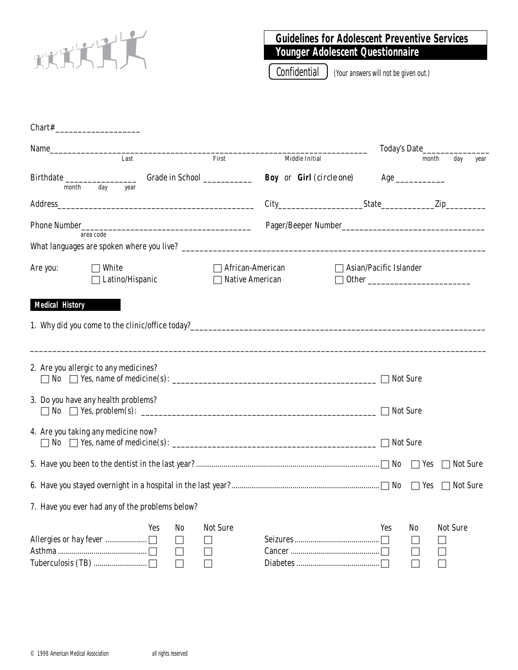

# **Guidelines for Adolescent Preventive Services Younger Adolescent Questionnaire**

Confidential ) (Your answers will not be given out.)

| Name     |                                                 |     |              |                               |                                            |                                          |                                    | Today's Date |                 |      |
|----------|-------------------------------------------------|-----|--------------|-------------------------------|--------------------------------------------|------------------------------------------|------------------------------------|--------------|-----------------|------|
|          | Last                                            |     |              | First                         |                                            | Middle Initial                           |                                    | month        | day             | year |
| month    | day<br>year                                     |     |              | Grade in School _____________ |                                            | <b>Boy</b> or Girl ( <i>circle one</i> ) |                                    |              |                 |      |
|          |                                                 |     |              |                               |                                            |                                          |                                    |              |                 |      |
|          | area code                                       |     |              |                               |                                            |                                          |                                    |              |                 |      |
|          |                                                 |     |              |                               |                                            |                                          |                                    |              |                 |      |
| Are you: | $\Box$ White<br>Latino/Hispanic                 |     |              |                               | African-American<br><b>Native American</b> |                                          | $\sqsupset$ Asian/Pacific Islander |              |                 |      |
|          | 2. Are you allergic to any medicines?           |     |              |                               |                                            |                                          |                                    |              |                 |      |
|          | 3. Do you have any health problems?             |     |              |                               |                                            |                                          | $\Box$ Not Sure                    |              |                 |      |
|          | 4. Are you taking any medicine now?             |     |              |                               |                                            |                                          | $\Box$ Not Sure                    |              |                 |      |
|          |                                                 |     |              |                               |                                            |                                          |                                    |              |                 |      |
|          |                                                 |     |              |                               |                                            |                                          |                                    | $\Box$ Yes   | Not Sure        |      |
|          | 7. Have you ever had any of the problems below? |     |              |                               |                                            |                                          |                                    |              |                 |      |
|          |                                                 | Yes | No<br>$\sim$ | <b>Not Sure</b>               |                                            |                                          | Yes                                | No           | <b>Not Sure</b> |      |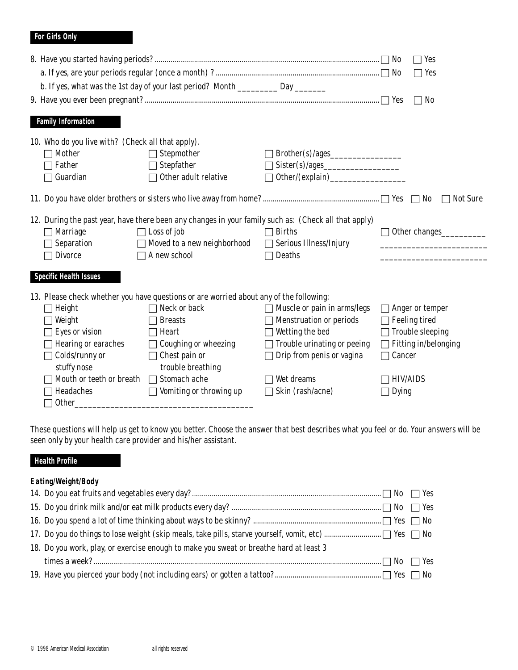### **For Girls Only**

|                       |                                                   | b. If yes, what was the 1st day of your last period? Month _____________ Day _________               |                                |                 | Yes<br>Yes<br>No<br>$\mathcal{L}$ |  |  |
|-----------------------|---------------------------------------------------|------------------------------------------------------------------------------------------------------|--------------------------------|-----------------|-----------------------------------|--|--|
|                       | <b>Family Information</b>                         |                                                                                                      |                                |                 |                                   |  |  |
|                       | 10. Who do you live with? (Check all that apply). |                                                                                                      |                                |                 |                                   |  |  |
|                       | <b>Mother</b>                                     | Stepmother                                                                                           |                                |                 |                                   |  |  |
|                       | Father                                            | Stepfather                                                                                           |                                |                 |                                   |  |  |
|                       | Guardian                                          | Other adult relative                                                                                 |                                |                 |                                   |  |  |
| No<br><b>Not Sure</b> |                                                   |                                                                                                      |                                |                 |                                   |  |  |
|                       |                                                   | 12. During the past year, have there been any changes in your family such as: (Check all that apply) |                                |                 |                                   |  |  |
|                       | <b>Marriage</b>                                   | $\Box$ Loss of job                                                                                   | <b>Births</b>                  |                 | Other changes                     |  |  |
|                       | Separation                                        | Moved to a new neighborhood                                                                          | <b>Serious Illness/Injury</b>  |                 |                                   |  |  |
|                       | <b>Divorce</b>                                    | $\Box$ A new school                                                                                  | Deaths                         |                 |                                   |  |  |
|                       | <b>Specific Health Issues</b>                     |                                                                                                      |                                |                 |                                   |  |  |
|                       |                                                   | 13. Please check whether you have questions or are worried about any of the following:               |                                |                 |                                   |  |  |
|                       | Height                                            | Neck or back                                                                                         | Muscle or pain in arms/legs    |                 | Anger or temper                   |  |  |
|                       | Weight                                            | <b>Breasts</b>                                                                                       | <b>Menstruation or periods</b> |                 | <b>Feeling tired</b>              |  |  |
|                       | Eyes or vision                                    | Heart                                                                                                | Wetting the bed                |                 | <b>Trouble sleeping</b>           |  |  |
|                       | <b>Hearing or earaches</b>                        | <b>Coughing or wheezing</b>                                                                          | Trouble urinating or peeing    |                 | Fitting in/belonging              |  |  |
|                       | Colds/runny or                                    | Chest pain or                                                                                        | Drip from penis or vagina      | Cancer          |                                   |  |  |
|                       | stuffy nose                                       | trouble breathing                                                                                    |                                |                 |                                   |  |  |
|                       | Mouth or teeth or breath                          | Stomach ache                                                                                         | Wet dreams                     | <b>HIV/AIDS</b> |                                   |  |  |
|                       | Headaches                                         | Vomiting or throwing up                                                                              | Skin (rash/acne)               | <b>Dying</b>    |                                   |  |  |
|                       | <b>Other</b>                                      |                                                                                                      |                                |                 |                                   |  |  |

These questions will help us get to know you better. Choose the answer that best describes what you feel or do. Your answers will be seen only by your health care provider and his/her assistant.

## **Health Profile**

### **Eating/Weight/Body**

| 18. Do you work, play, or exercise enough to make you sweat or breathe hard at least 3 |  |
|----------------------------------------------------------------------------------------|--|
|                                                                                        |  |
|                                                                                        |  |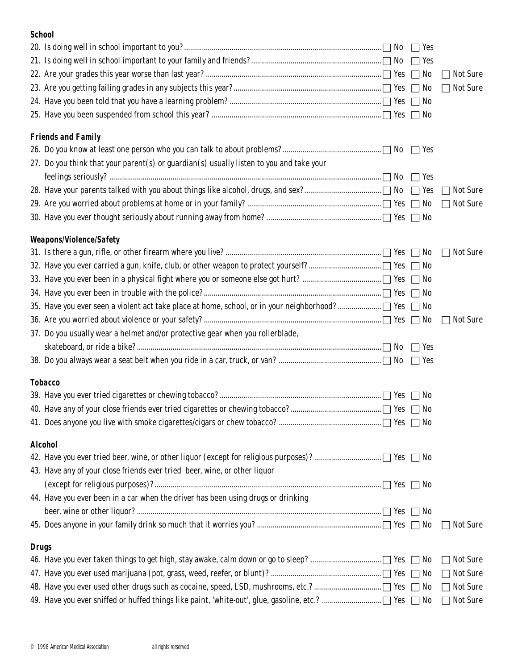#### **School**

|              |                                                                                         | $\Box$ Yes |                 |
|--------------|-----------------------------------------------------------------------------------------|------------|-----------------|
|              |                                                                                         | No         | <b>Not Sure</b> |
|              |                                                                                         | No         | <b>Not Sure</b> |
|              |                                                                                         |            |                 |
|              |                                                                                         |            |                 |
|              |                                                                                         |            |                 |
|              | <b>Friends and Family</b>                                                               |            |                 |
|              | 27. Do you think that your parent(s) or guardian(s) usually listen to you and take your |            |                 |
|              |                                                                                         |            |                 |
|              |                                                                                         | $\Box$ Yes | <b>Not Sure</b> |
|              |                                                                                         |            |                 |
|              |                                                                                         |            | <b>Not Sure</b> |
|              |                                                                                         |            |                 |
|              | <b>Weapons/Violence/Safety</b>                                                          |            |                 |
|              |                                                                                         |            | <b>Not Sure</b> |
|              |                                                                                         |            |                 |
|              |                                                                                         |            |                 |
|              |                                                                                         |            |                 |
|              |                                                                                         |            |                 |
|              |                                                                                         |            | <b>Not Sure</b> |
|              | 37. Do you usually wear a helmet and/or protective gear when you rollerblade,           |            |                 |
|              |                                                                                         | Yes        |                 |
|              |                                                                                         | $\Box$ Yes |                 |
|              | <b>Tobacco</b>                                                                          |            |                 |
|              |                                                                                         | $\Box$ No  |                 |
|              |                                                                                         |            |                 |
|              |                                                                                         |            |                 |
|              |                                                                                         |            |                 |
|              | <b>Alcohol</b>                                                                          |            |                 |
|              |                                                                                         |            |                 |
|              | 43. Have any of your close friends ever tried beer, wine, or other liquor               |            |                 |
|              |                                                                                         | $\Box$ No  |                 |
|              | 44. Have you ever been in a car when the driver has been using drugs or drinking        |            |                 |
|              |                                                                                         | $\Box$ No  |                 |
|              |                                                                                         |            | <b>Not Sure</b> |
|              |                                                                                         |            |                 |
| <b>Drugs</b> |                                                                                         |            | <b>Not Sure</b> |
|              |                                                                                         |            | <b>Not Sure</b> |
|              |                                                                                         | No         | <b>Not Sure</b> |
|              |                                                                                         |            | <b>Not Sure</b> |
|              |                                                                                         |            |                 |